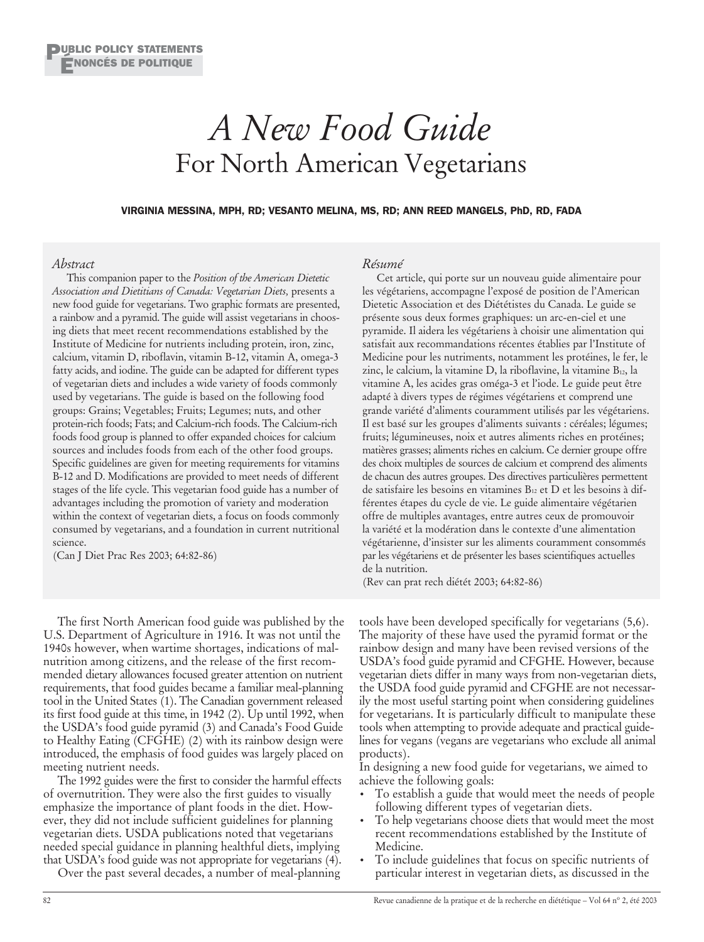# *A New Food Guide*  For North American Vegetarians

#### VIRGINIA MESSINA, MPH, RD; VESANTO MELINA, MS, RD; ANN REED MANGELS, PhD, RD, FADA

#### *Abstract*

This companion paper to the *Position of the American Dietetic Association and Dietitians of Canada: Vegetarian Diets,* presents a new food guide for vegetarians. Two graphic formats are presented, a rainbow and a pyramid. The guide will assist vegetarians in choosing diets that meet recent recommendations established by the Institute of Medicine for nutrients including protein, iron, zinc, calcium, vitamin D, riboflavin, vitamin B-12, vitamin A, omega-3 fatty acids, and iodine. The guide can be adapted for different types of vegetarian diets and includes a wide variety of foods commonly used by vegetarians. The guide is based on the following food groups: Grains; Vegetables; Fruits; Legumes; nuts, and other protein-rich foods; Fats; and Calcium-rich foods. The Calcium-rich foods food group is planned to offer expanded choices for calcium sources and includes foods from each of the other food groups. Specific guidelines are given for meeting requirements for vitamins B-12 and D. Modifications are provided to meet needs of different stages of the life cycle. This vegetarian food guide has a number of advantages including the promotion of variety and moderation within the context of vegetarian diets, a focus on foods commonly consumed by vegetarians, and a foundation in current nutritional science.

(Can J Diet Prac Res 2003; 64:82-86)

#### *Résumé*

Cet article, qui porte sur un nouveau guide alimentaire pour les végétariens, accompagne l'exposé de position de l'American Dietetic Association et des Diététistes du Canada. Le guide se présente sous deux formes graphiques: un arc-en-ciel et une pyramide. Il aidera les végétariens à choisir une alimentation qui satisfait aux recommandations récentes établies par l'Institute of Medicine pour les nutriments, notamment les protéines, le fer, le zinc, le calcium, la vitamine D, la riboflavine, la vitamine B<sub>12</sub>, la vitamine A, les acides gras oméga-3 et l'iode. Le guide peut être adapté à divers types de régimes végétariens et comprend une grande variété d'aliments couramment utilisés par les végétariens. Il est basé sur les groupes d'aliments suivants : céréales; légumes; fruits; légumineuses, noix et autres aliments riches en protéines; matières grasses; aliments riches en calcium. Ce dernier groupe offre des choix multiples de sources de calcium et comprend des aliments de chacun des autres groupes. Des directives particulières permettent de satisfaire les besoins en vitamines B12 et D et les besoins à différentes étapes du cycle de vie. Le guide alimentaire végétarien offre de multiples avantages, entre autres ceux de promouvoir la variété et la modération dans le contexte d'une alimentation végétarienne, d'insister sur les aliments couramment consommés par les végétariens et de présenter les bases scientifiques actuelles de la nutrition.

(Rev can prat rech diétét 2003; 64:82-86)

The first North American food guide was published by the U.S. Department of Agriculture in 1916. It was not until the 1940s however, when wartime shortages, indications of malnutrition among citizens, and the release of the first recommended dietary allowances focused greater attention on nutrient requirements, that food guides became a familiar meal-planning tool in the United States (1). The Canadian government released its first food guide at this time, in 1942 (2). Up until 1992, when the USDA's food guide pyramid (3) and Canada's Food Guide to Healthy Eating (CFGHE) (2) with its rainbow design were introduced, the emphasis of food guides was largely placed on meeting nutrient needs.

The 1992 guides were the first to consider the harmful effects of overnutrition. They were also the first guides to visually emphasize the importance of plant foods in the diet. However, they did not include sufficient guidelines for planning vegetarian diets. USDA publications noted that vegetarians needed special guidance in planning healthful diets, implying that USDA's food guide was not appropriate for vegetarians (4).

Over the past several decades, a number of meal-planning

tools have been developed specifically for vegetarians (5,6). The majority of these have used the pyramid format or the rainbow design and many have been revised versions of the USDA's food guide pyramid and CFGHE. However, because vegetarian diets differ in many ways from non-vegetarian diets, the USDA food guide pyramid and CFGHE are not necessarily the most useful starting point when considering guidelines for vegetarians. It is particularly difficult to manipulate these tools when attempting to provide adequate and practical guidelines for vegans (vegans are vegetarians who exclude all animal products).

In designing a new food guide for vegetarians, we aimed to achieve the following goals:

- To establish a guide that would meet the needs of people following different types of vegetarian diets.
- To help vegetarians choose diets that would meet the most recent recommendations established by the Institute of Medicine.
- To include guidelines that focus on specific nutrients of particular interest in vegetarian diets, as discussed in the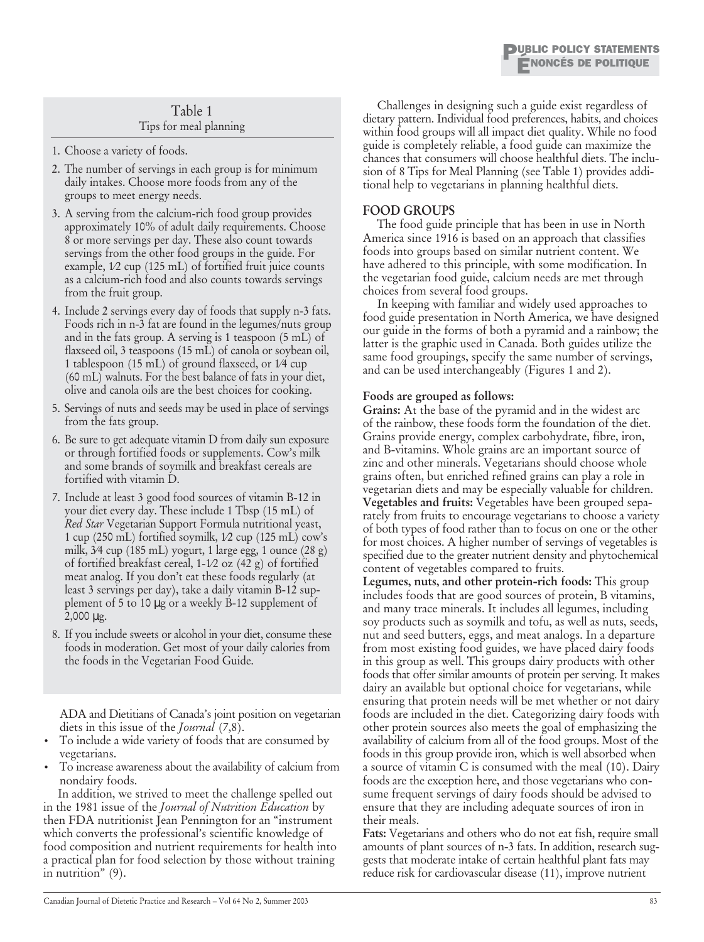# Table 1 Tips for meal planning

- 1. Choose a variety of foods.
- 2. The number of servings in each group is for minimum daily intakes. Choose more foods from any of the groups to meet energy needs.
- 3. A serving from the calcium-rich food group provides approximately 10% of adult daily requirements. Choose 8 or more servings per day. These also count towards servings from the other food groups in the guide. For example, 1⁄2 cup (125 mL) of fortified fruit juice counts as a calcium-rich food and also counts towards servings from the fruit group.
- 4. Include 2 servings every day of foods that supply n-3 fats. Foods rich in n-3 fat are found in the legumes/nuts group and in the fats group. A serving is 1 teaspoon (5 mL) of flaxseed oil, 3 teaspoons (15 mL) of canola or soybean oil, 1 tablespoon (15 mL) of ground flaxseed, or 1⁄4 cup (60 mL) walnuts. For the best balance of fats in your diet, olive and canola oils are the best choices for cooking.
- 5. Servings of nuts and seeds may be used in place of servings from the fats group.
- 6. Be sure to get adequate vitamin D from daily sun exposure or through fortified foods or supplements. Cow's milk and some brands of soymilk and breakfast cereals are fortified with vitamin D.
- 7. Include at least 3 good food sources of vitamin B-12 in your diet every day. These include 1 Tbsp (15 mL) of *Red Star* Vegetarian Support Formula nutritional yeast, 1 cup (250 mL) fortified soymilk, 1⁄2 cup (125 mL) cow's milk, 3⁄4 cup (185 mL) yogurt, 1 large egg, 1 ounce (28 g) of fortified breakfast cereal, 1-1⁄2 oz (42 g) of fortified meat analog. If you don't eat these foods regularly (at least 3 servings per day), take a daily vitamin B-12 supplement of 5 to 10 µg or a weekly B-12 supplement of 2,000 µg.
- 8. If you include sweets or alcohol in your diet, consume these foods in moderation. Get most of your daily calories from the foods in the Vegetarian Food Guide.

ADA and Dietitians of Canada's joint position on vegetarian diets in this issue of the *Journal* (7,8).

- To include a wide variety of foods that are consumed by vegetarians.
- To increase awareness about the availability of calcium from nondairy foods.

In addition, we strived to meet the challenge spelled out in the 1981 issue of the *Journal of Nutrition Education* by then FDA nutritionist Jean Pennington for an "instrument which converts the professional's scientific knowledge of food composition and nutrient requirements for health into a practical plan for food selection by those without training in nutrition" (9).

Challenges in designing such a guide exist regardless of dietary pattern. Individual food preferences, habits, and choices within food groups will all impact diet quality. While no food guide is completely reliable, a food guide can maximize the chances that consumers will choose healthful diets. The inclusion of 8 Tips for Meal Planning (see Table 1) provides additional help to vegetarians in planning healthful diets.

## **FOOD GROUPS**

The food guide principle that has been in use in North America since 1916 is based on an approach that classifies foods into groups based on similar nutrient content. We have adhered to this principle, with some modification. In the vegetarian food guide, calcium needs are met through choices from several food groups.

In keeping with familiar and widely used approaches to food guide presentation in North America, we have designed our guide in the forms of both a pyramid and a rainbow; the latter is the graphic used in Canada. Both guides utilize the same food groupings, specify the same number of servings, and can be used interchangeably (Figures 1 and 2).

## **Foods are grouped as follows:**

**Grains:** At the base of the pyramid and in the widest arc of the rainbow, these foods form the foundation of the diet. Grains provide energy, complex carbohydrate, fibre, iron, and B-vitamins. Whole grains are an important source of zinc and other minerals. Vegetarians should choose whole grains often, but enriched refined grains can play a role in vegetarian diets and may be especially valuable for children. **Vegetables and fruits:** Vegetables have been grouped separately from fruits to encourage vegetarians to choose a variety of both types of food rather than to focus on one or the other for most choices. A higher number of servings of vegetables is specified due to the greater nutrient density and phytochemical content of vegetables compared to fruits.

**Legumes, nuts, and other protein-rich foods:** This group includes foods that are good sources of protein, B vitamins, and many trace minerals. It includes all legumes, including soy products such as soymilk and tofu, as well as nuts, seeds, nut and seed butters, eggs, and meat analogs. In a departure from most existing food guides, we have placed dairy foods in this group as well. This groups dairy products with other foods that offer similar amounts of protein per serving. It makes dairy an available but optional choice for vegetarians, while ensuring that protein needs will be met whether or not dairy foods are included in the diet. Categorizing dairy foods with other protein sources also meets the goal of emphasizing the availability of calcium from all of the food groups. Most of the foods in this group provide iron, which is well absorbed when a source of vitamin C is consumed with the meal (10). Dairy foods are the exception here, and those vegetarians who consume frequent servings of dairy foods should be advised to ensure that they are including adequate sources of iron in their meals.

**Fats:** Vegetarians and others who do not eat fish, require small amounts of plant sources of n-3 fats. In addition, research suggests that moderate intake of certain healthful plant fats may reduce risk for cardiovascular disease (11), improve nutrient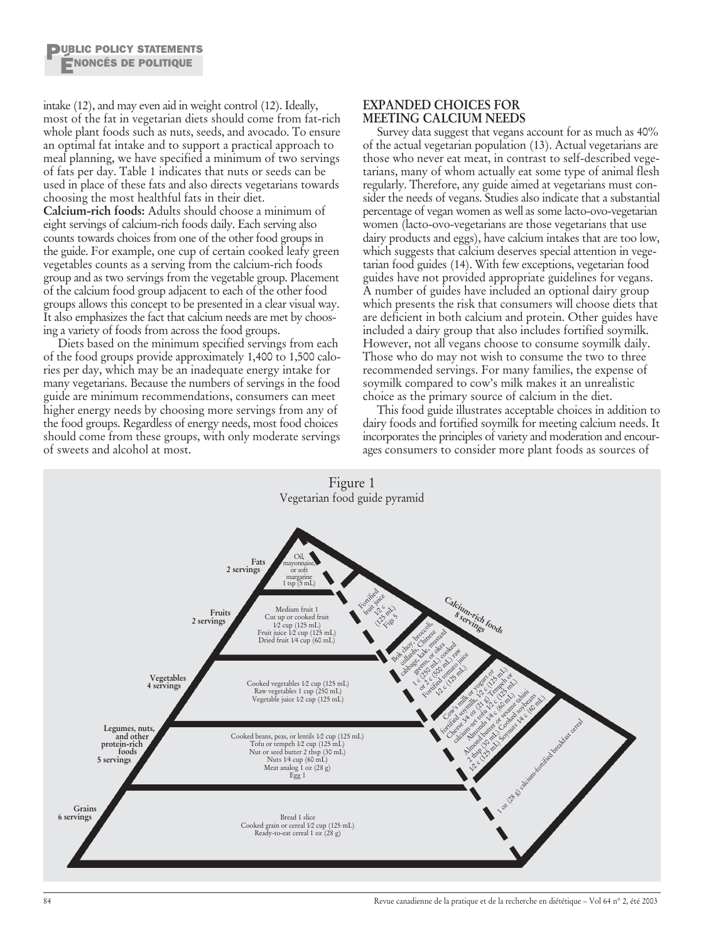intake (12), and may even aid in weight control (12). Ideally, most of the fat in vegetarian diets should come from fat-rich whole plant foods such as nuts, seeds, and avocado. To ensure an optimal fat intake and to support a practical approach to meal planning, we have specified a minimum of two servings of fats per day. Table 1 indicates that nuts or seeds can be used in place of these fats and also directs vegetarians towards choosing the most healthful fats in their diet. **Calcium-rich foods:** Adults should choose a minimum of eight servings of calcium-rich foods daily. Each serving also counts towards choices from one of the other food groups in the guide. For example, one cup of certain cooked leafy green vegetables counts as a serving from the calcium-rich foods group and as two servings from the vegetable group. Placement of the calcium food group adjacent to each of the other food groups allows this concept to be presented in a clear visual way. It also emphasizes the fact that calcium needs are met by choosing a variety of foods from across the food groups.

Diets based on the minimum specified servings from each of the food groups provide approximately 1,400 to 1,500 calories per day, which may be an inadequate energy intake for many vegetarians. Because the numbers of servings in the food guide are minimum recommendations, consumers can meet higher energy needs by choosing more servings from any of the food groups. Regardless of energy needs, most food choices should come from these groups, with only moderate servings of sweets and alcohol at most.

#### **EXPANDED CHOICES FOR MEETING CALCIUM NEEDS**

Survey data suggest that vegans account for as much as 40% of the actual vegetarian population (13). Actual vegetarians are those who never eat meat, in contrast to self-described vegetarians, many of whom actually eat some type of animal flesh regularly. Therefore, any guide aimed at vegetarians must consider the needs of vegans. Studies also indicate that a substantial percentage of vegan women as well as some lacto-ovo-vegetarian women (lacto-ovo-vegetarians are those vegetarians that use dairy products and eggs), have calcium intakes that are too low, which suggests that calcium deserves special attention in vegetarian food guides (14). With few exceptions, vegetarian food guides have not provided appropriate guidelines for vegans. A number of guides have included an optional dairy group which presents the risk that consumers will choose diets that are deficient in both calcium and protein. Other guides have included a dairy group that also includes fortified soymilk. However, not all vegans choose to consume soymilk daily. Those who do may not wish to consume the two to three recommended servings. For many families, the expense of soymilk compared to cow's milk makes it an unrealistic choice as the primary source of calcium in the diet.

This food guide illustrates acceptable choices in addition to dairy foods and fortified soymilk for meeting calcium needs. It incorporates the principles of variety and moderation and encourages consumers to consider more plant foods as sources of

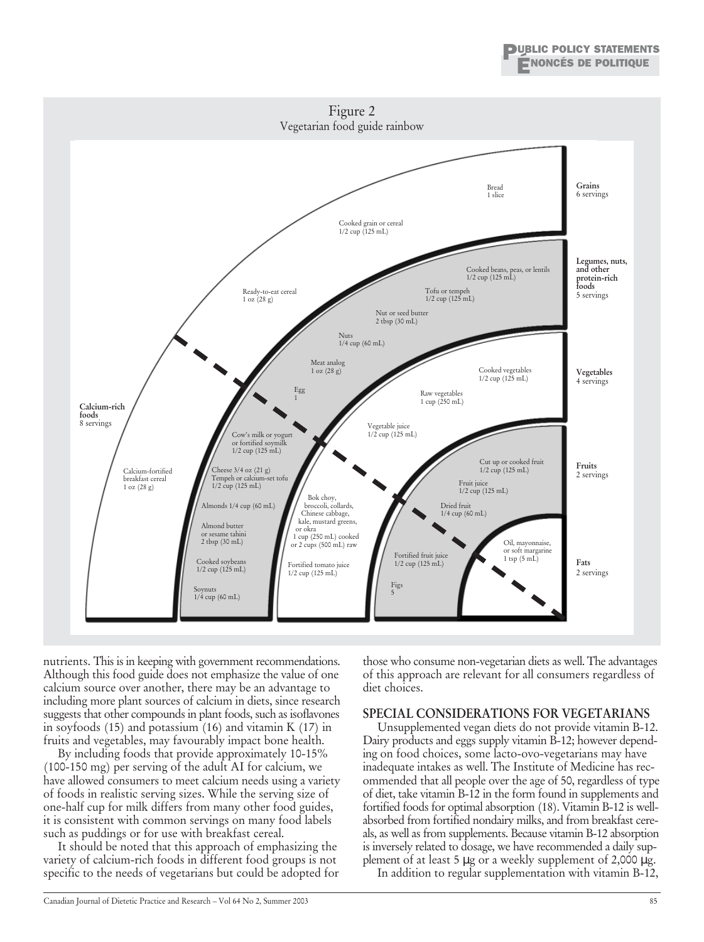

nutrients. This is in keeping with government recommendations. Although this food guide does not emphasize the value of one calcium source over another, there may be an advantage to including more plant sources of calcium in diets, since research suggests that other compounds in plant foods, such as isoflavones in soyfoods (15) and potassium (16) and vitamin K (17) in fruits and vegetables, may favourably impact bone health.

By including foods that provide approximately 10-15% (100-150 mg) per serving of the adult AI for calcium, we have allowed consumers to meet calcium needs using a variety of foods in realistic serving sizes. While the serving size of one-half cup for milk differs from many other food guides, it is consistent with common servings on many food labels such as puddings or for use with breakfast cereal.

It should be noted that this approach of emphasizing the variety of calcium-rich foods in different food groups is not specific to the needs of vegetarians but could be adopted for

those who consume non-vegetarian diets as well. The advantages of this approach are relevant for all consumers regardless of diet choices.

## **SPECIAL CONSIDERATIONS FOR VEGETARIANS**

Unsupplemented vegan diets do not provide vitamin B-12. Dairy products and eggs supply vitamin B-12; however depending on food choices, some lacto-ovo-vegetarians may have inadequate intakes as well. The Institute of Medicine has recommended that all people over the age of 50, regardless of type of diet, take vitamin B-12 in the form found in supplements and fortified foods for optimal absorption (18). Vitamin B-12 is wellabsorbed from fortified nondairy milks, and from breakfast cereals, as well as from supplements. Because vitamin B-12 absorption is inversely related to dosage, we have recommended a daily supplement of at least 5 µg or a weekly supplement of 2,000 µg.

In addition to regular supplementation with vitamin B-12,